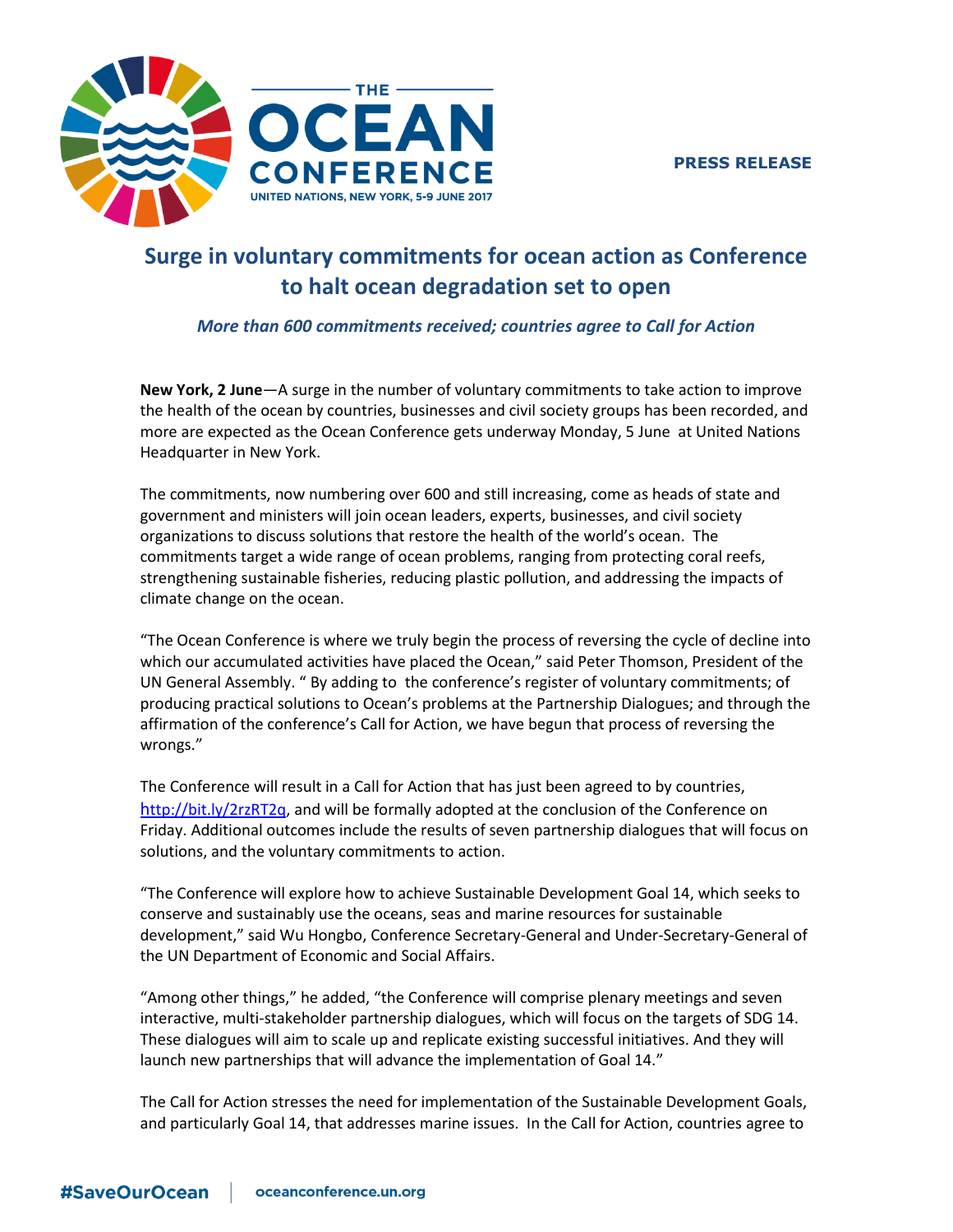**PRESS RELEASE**



# **Surge in voluntary commitments for ocean action as Conference to halt ocean degradation set to open**

# *More than 600 commitments received; countries agree to Call for Action*

**New York, 2 June**—A surge in the number of voluntary commitments to take action to improve the health of the ocean by countries, businesses and civil society groups has been recorded, and more are expected as the Ocean Conference gets underway Monday, 5 June at United Nations Headquarter in New York.

The commitments, now numbering over 600 and still increasing, come as heads of state and government and ministers will join ocean leaders, experts, businesses, and civil society organizations to discuss solutions that restore the health of the world's ocean. The commitments target a wide range of ocean problems, ranging from protecting coral reefs, strengthening sustainable fisheries, reducing plastic pollution, and addressing the impacts of climate change on the ocean.

"The Ocean Conference is where we truly begin the process of reversing the cycle of decline into which our accumulated activities have placed the Ocean," said Peter Thomson, President of the UN General Assembly. " By adding to the conference's register of voluntary commitments; of producing practical solutions to Ocean's problems at the Partnership Dialogues; and through the affirmation of the conference's Call for Action, we have begun that process of reversing the wrongs."

The Conference will result in a Call for Action that has just been agreed to by countries, h[ttp://bit.ly/2rzRT2q,](http://bit.ly/2rzRT2q) and will be formally adopted at the conclusion of the Conference on Friday. Additional outcomes include the results of seven partnership dialogues that will focus on solutions, and the voluntary commitments to action.

"The Conference will explore how to achieve Sustainable Development Goal 14, which seeks to conserve and sustainably use the oceans, seas and marine resources for sustainable development," said Wu Hongbo, Conference Secretary-General and Under-Secretary-General of the UN Department of Economic and Social Affairs.

"Among other things," he added, "the Conference will comprise plenary meetings and seven interactive, multi-stakeholder partnership dialogues, which will focus on the targets of SDG 14. These dialogues will aim to scale up and replicate existing successful initiatives. And they will launch new partnerships that will advance the implementation of Goal 14."

The Call for Action stresses the need for implementation of the Sustainable Development Goals, and particularly Goal 14, that addresses marine issues. In the Call for Action, countries agree to